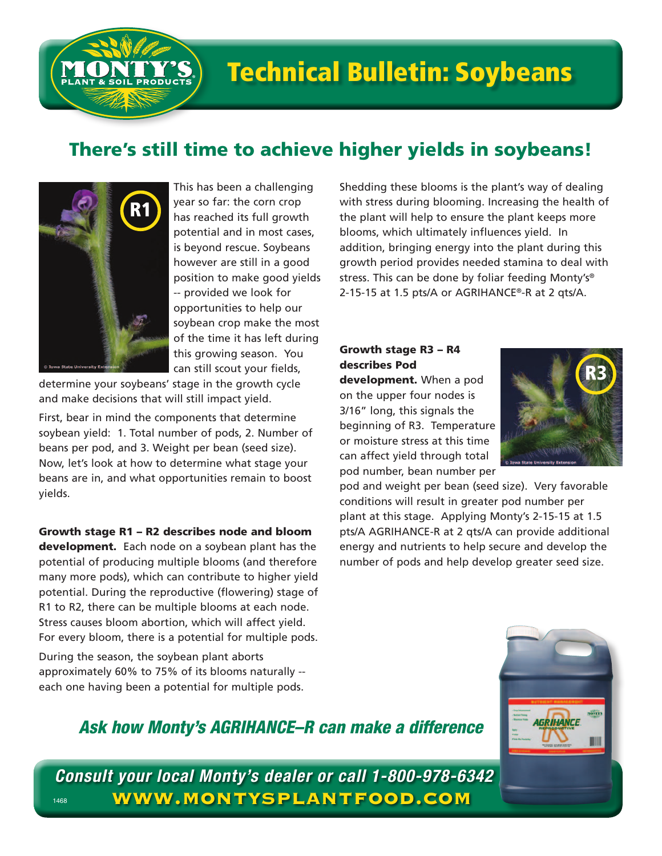

# There's still time to achieve higher yields in soybeans!



This has been a challenging year so far: the corn crop has reached its full growth potential and in most cases, is beyond rescue. Soybeans however are still in a good position to make good yields -- provided we look for opportunities to help our soybean crop make the most of the time it has left during this growing season. You can still scout your fields,

determine your soybeans' stage in the growth cycle and make decisions that will still impact yield.

First, bear in mind the components that determine soybean yield: 1. Total number of pods, 2. Number of beans per pod, and 3. Weight per bean (seed size). Now, let's look at how to determine what stage your beans are in, and what opportunities remain to boost yields.

#### Growth stage R1 – R2 describes node and bloom

development. Each node on a soybean plant has the potential of producing multiple blooms (and therefore many more pods), which can contribute to higher yield potential. During the reproductive (flowering) stage of R1 to R2, there can be multiple blooms at each node. Stress causes bloom abortion, which will affect yield. For every bloom, there is a potential for multiple pods.

During the season, the soybean plant aborts approximately 60% to 75% of its blooms naturally - each one having been a potential for multiple pods.

Shedding these blooms is the plant's way of dealing with stress during blooming. Increasing the health of the plant will help to ensure the plant keeps more blooms, which ultimately influences yield. In addition, bringing energy into the plant during this growth period provides needed stamina to deal with stress. This can be done by foliar feeding Monty's® 2-15-15 at 1.5 pts/A or AGRIHANCE®-R at 2 qts/A.

### Growth stage R3 – R4 describes Pod

development. When a pod on the upper four nodes is 3/16" long, this signals the beginning of R3. Temperature or moisture stress at this time can affect yield through total pod number, bean number per



pod and weight per bean (seed size). Very favorable conditions will result in greater pod number per plant at this stage. Applying Monty's 2-15-15 at 1.5 pts/A AGRIHANCE-R at 2 qts/A can provide additional energy and nutrients to help secure and develop the number of pods and help develop greater seed size.

## *Ask how Monty's AGRIHANCE–R can make a difference*

*Consult your local Monty's dealer or call 1-800-978-6342* 1468 **WWW.MONTYSPLANTFOOD.COM**